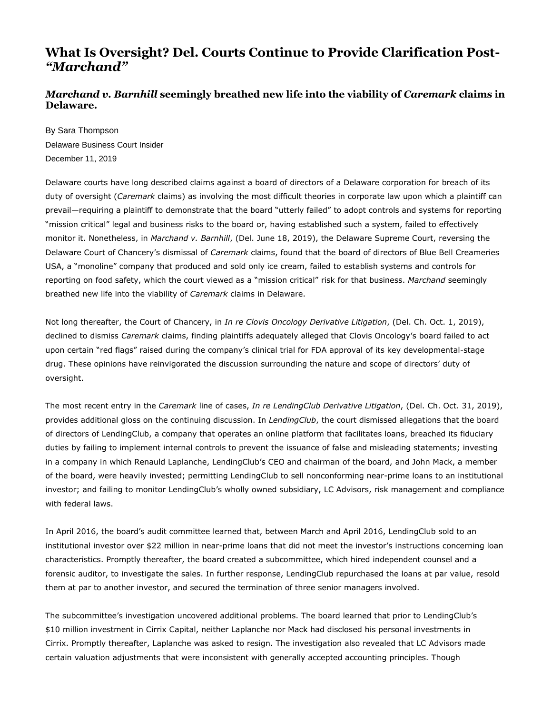## **What Is Oversight? Del. Courts Continue to Provide Clarification Post-** *"Marchand"*

## *Marchand v. Barnhill* **seemingly breathed new life into the viability of** *Caremark* **claims in Delaware.**

By Sara Thompson Delaware Business Court Insider December 11, 201[9](http://www.delbizcourt.com/PubArticleDBCI.jsp?hubtype=MAIN_PAGE&id=1202593757804#postComment#postComment) 

Delaware courts have long described claims against a board of directors of a Delaware corporation for breach of its duty of oversight (*Caremark* claims) as involving the most difficult theories in corporate law upon which a plaintiff can prevail—requiring a plaintiff to demonstrate that the board "utterly failed" to adopt controls and systems for reporting "mission critical" legal and business risks to the board or, having established such a system, failed to effectively monitor it. Nonetheless, in *Marchand v. Barnhill*, (Del. June 18, 2019), the Delaware Supreme Court, reversing the Delaware Court of Chancery's dismissal of *Caremark* claims, found that the board of directors of Blue Bell Creameries USA, a "monoline" company that produced and sold only ice cream, failed to establish systems and controls for reporting on food safety, which the court viewed as a "mission critical" risk for that business. *Marchand* seemingly breathed new life into the viability of *Caremark* claims in Delaware.

Not long thereafter, the Court of Chancery, in *In re Clovis Oncology Derivative Litigation*, (Del. Ch. Oct. 1, 2019), declined to dismiss *Caremark* claims, finding plaintiffs adequately alleged that Clovis Oncology's board failed to act upon certain "red flags" raised during the company's clinical trial for FDA approval of its key developmental-stage drug. These opinions have reinvigorated the discussion surrounding the nature and scope of directors' duty of oversight.

The most recent entry in the *Caremark* line of cases, *In re LendingClub Derivative Litigation*, (Del. Ch. Oct. 31, 2019), provides additional gloss on the continuing discussion. In *LendingClub*, the court dismissed allegations that the board of directors of LendingClub, a company that operates an online platform that facilitates loans, breached its fiduciary duties by failing to implement internal controls to prevent the issuance of false and misleading statements; investing in a company in which Renauld Laplanche, LendingClub's CEO and chairman of the board, and John Mack, a member of the board, were heavily invested; permitting LendingClub to sell nonconforming near-prime loans to an institutional investor; and failing to monitor LendingClub's wholly owned subsidiary, LC Advisors, risk management and compliance with federal laws.

In April 2016, the board's audit committee learned that, between March and April 2016, LendingClub sold to an institutional investor over \$22 million in near-prime loans that did not meet the investor's instructions concerning loan characteristics. Promptly thereafter, the board created a subcommittee, which hired independent counsel and a forensic auditor, to investigate the sales. In further response, LendingClub repurchased the loans at par value, resold them at par to another investor, and secured the termination of three senior managers involved.

The subcommittee's investigation uncovered additional problems. The board learned that prior to LendingClub's \$10 million investment in Cirrix Capital, neither Laplanche nor Mack had disclosed his personal investments in Cirrix. Promptly thereafter, Laplanche was asked to resign. The investigation also revealed that LC Advisors made certain valuation adjustments that were inconsistent with generally accepted accounting principles. Though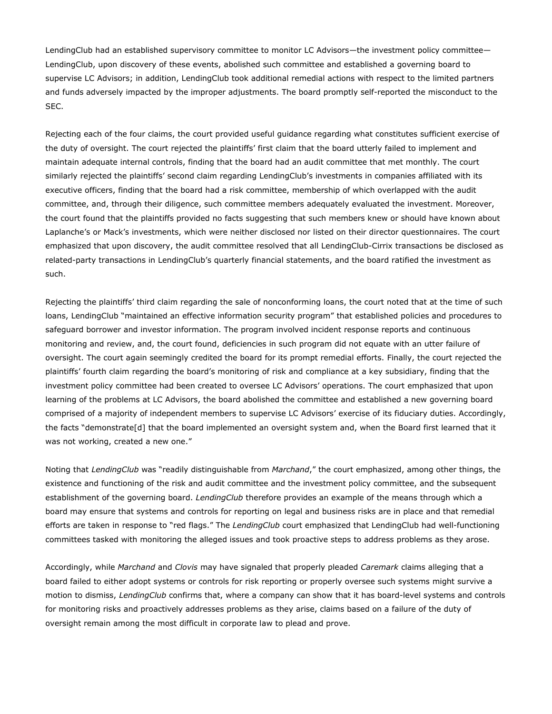LendingClub had an established supervisory committee to monitor LC Advisors—the investment policy committee— LendingClub, upon discovery of these events, abolished such committee and established a governing board to supervise LC Advisors; in addition, LendingClub took additional remedial actions with respect to the limited partners and funds adversely impacted by the improper adjustments. The board promptly self-reported the misconduct to the SEC.

Rejecting each of the four claims, the court provided useful guidance regarding what constitutes sufficient exercise of the duty of oversight. The court rejected the plaintiffs' first claim that the board utterly failed to implement and maintain adequate internal controls, finding that the board had an audit committee that met monthly. The court similarly rejected the plaintiffs' second claim regarding LendingClub's investments in companies affiliated with its executive officers, finding that the board had a risk committee, membership of which overlapped with the audit committee, and, through their diligence, such committee members adequately evaluated the investment. Moreover, the court found that the plaintiffs provided no facts suggesting that such members knew or should have known about Laplanche's or Mack's investments, which were neither disclosed nor listed on their director questionnaires. The court emphasized that upon discovery, the audit committee resolved that all LendingClub-Cirrix transactions be disclosed as related-party transactions in LendingClub's quarterly financial statements, and the board ratified the investment as such.

Rejecting the plaintiffs' third claim regarding the sale of nonconforming loans, the court noted that at the time of such loans, LendingClub "maintained an effective information security program" that established policies and procedures to safeguard borrower and investor information. The program involved incident response reports and continuous monitoring and review, and, the court found, deficiencies in such program did not equate with an utter failure of oversight. The court again seemingly credited the board for its prompt remedial efforts. Finally, the court rejected the plaintiffs' fourth claim regarding the board's monitoring of risk and compliance at a key subsidiary, finding that the investment policy committee had been created to oversee LC Advisors' operations. The court emphasized that upon learning of the problems at LC Advisors, the board abolished the committee and established a new governing board comprised of a majority of independent members to supervise LC Advisors' exercise of its fiduciary duties. Accordingly, the facts "demonstrate[d] that the board implemented an oversight system and, when the Board first learned that it was not working, created a new one."

Noting that *LendingClub* was "readily distinguishable from *Marchand*," the court emphasized, among other things, the existence and functioning of the risk and audit committee and the investment policy committee, and the subsequent establishment of the governing board. *LendingClub* therefore provides an example of the means through which a board may ensure that systems and controls for reporting on legal and business risks are in place and that remedial efforts are taken in response to "red flags." The *LendingClub* court emphasized that LendingClub had well-functioning committees tasked with monitoring the alleged issues and took proactive steps to address problems as they arose.

Accordingly, while *Marchand* and *Clovis* may have signaled that properly pleaded *Caremark* claims alleging that a board failed to either adopt systems or controls for risk reporting or properly oversee such systems might survive a motion to dismiss, *LendingClub* confirms that, where a company can show that it has board-level systems and controls for monitoring risks and proactively addresses problems as they arise, claims based on a failure of the duty of oversight remain among the most difficult in corporate law to plead and prove.